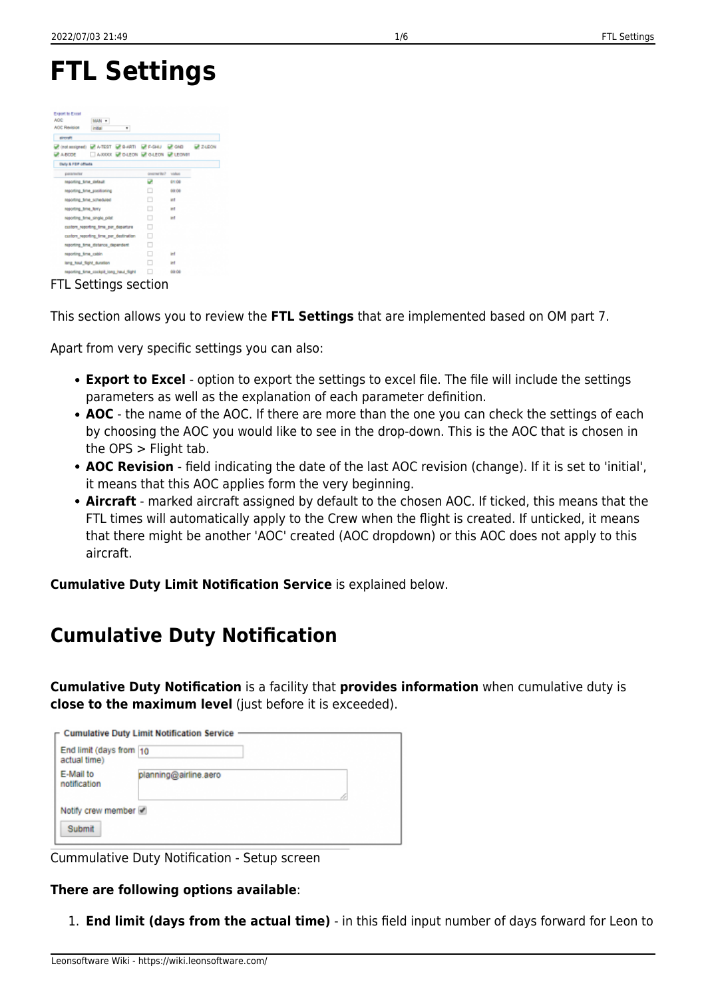# **FTL Settings**

| Export to Excel<br>AOC:<br><b>MAN</b> =<br><b>AOC Revision</b><br>٠<br>india. |                   |            |  |
|-------------------------------------------------------------------------------|-------------------|------------|--|
| aircraft                                                                      |                   |            |  |
| 년 (notamigned) 년 ATEST 년 8-ARTI 년 F-SHU 년 GND - 년 2-LEON                      |                   |            |  |
| AXXXX REDUCED REQUEST RELEASE<br><b>ОР А.ВСТВ</b>                             |                   |            |  |
| Daily & FDP offsets                                                           |                   |            |  |
| parameter                                                                     | contractic? value |            |  |
| reporting time default                                                        | u                 | 01:08      |  |
| reporting time positioning                                                    |                   | 00:00      |  |
| resorting time scheduled                                                      |                   | <b>MT</b>  |  |
| reporting time ferry                                                          |                   | w          |  |
| reporting time single pilot                                                   |                   | <b>M</b>   |  |
| custom reporting firms per departure                                          | □                 |            |  |
| custom reporting time per destination                                         | п                 |            |  |
| reporting time distance dependent.                                            | ш                 |            |  |
| reporting time cabin                                                          | ш                 | <b>inf</b> |  |
| lang haul flight duration                                                     | п                 | int.       |  |
| reporting time cockpit long haul flight                                       |                   | 00:08      |  |

FTL Settings section

This section allows you to review the **FTL Settings** that are implemented based on OM part 7.

Apart from very specific settings you can also:

- **Export to Excel** option to export the settings to excel file. The file will include the settings parameters as well as the explanation of each parameter definition.
- **AOC** the name of the AOC. If there are more than the one you can check the settings of each by choosing the AOC you would like to see in the drop-down. This is the AOC that is chosen in the OPS > Flight tab.
- **AOC Revision** field indicating the date of the last AOC revision (change). If it is set to 'initial', it means that this AOC applies form the very beginning.
- **Aircraft** marked aircraft assigned by default to the chosen AOC. If ticked, this means that the FTL times will automatically apply to the Crew when the flight is created. If unticked, it means that there might be another 'AOC' created (AOC dropdown) or this AOC does not apply to this aircraft.

**Cumulative Duty Limit Notification Service** is explained below.

# **Cumulative Duty Notification**

**Cumulative Duty Notification** is a facility that **provides information** when cumulative duty is **close to the maximum level** (just before it is exceeded).

|                                         | $\Gamma$ Cumulative Duty Limit Notification Service |  |
|-----------------------------------------|-----------------------------------------------------|--|
| End limit (days from 10<br>actual time) |                                                     |  |
| E-Mail to<br>notification               | planning@airline.aero                               |  |
| Notify crew member<br>Submit            |                                                     |  |

Cummulative Duty Notification - Setup screen

#### **There are following options available**:

1. **End limit (days from the actual time)** - in this field input number of days forward for Leon to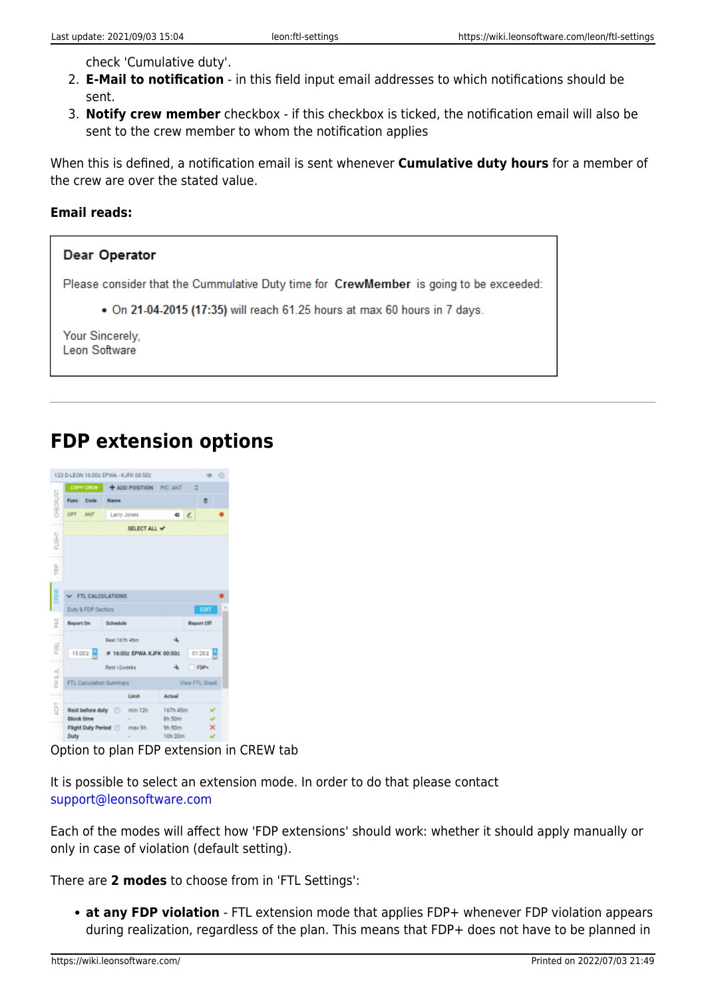check 'Cumulative duty'.

- 2. **E-Mail to notification** in this field input email addresses to which notifications should be sent.
- 3. **Notify crew member** checkbox if this checkbox is ticked, the notification email will also be sent to the crew member to whom the notification applies

When this is defined, a notification email is sent whenever **Cumulative duty hours** for a member of the crew are over the stated value.

#### **Email reads:**

#### **Dear Operator**

Please consider that the Cummulative Duty time for CrewMember is going to be exceeded:

. On 21-04-2015 (17:35) will reach 61.25 hours at max 60 hours in 7 days.

Your Sincerely. Leon Software

### **FDP extension options**

| COPY CREW<br>+ ADD POSITION PIC: ANT<br>ō<br>CHECKLIST<br>Code<br><b>Func</b><br><b>Мати</b><br>۰<br><b>CPT</b><br><b>ANT</b><br>Larry Jones<br>Q<br>SELECT ALL V<br><b>FUGHT</b><br>È<br>田区<br>FTL CALCULATIONS<br>Duty & FDP Sectors<br><b>EDIT</b><br>ž<br>Report On<br>Schedule<br>Report Off<br>÷.<br>Rest 167h 45m<br>EU.<br>15:00 z W<br># 16:002 EPWA KJFK 00:502<br>01:20Z<br>Rest >2weeks<br>FDP+<br>FW & JL<br>FTL Calculation Summary<br>View FTL Sheet<br>Limit<br>Actual<br>4GT<br>Rest before duty @ min 12h<br>167h 45m<br>Block time<br>8h 50m<br>×<br>Flight Duty Period @ max 9h<br>9h 50m |  |  |  | 123 B-LEON 16:00z EPWA - KJFK 00:50z |  |  | $\circ$ $\circ$ |  |  |  |  |  |  |  |
|---------------------------------------------------------------------------------------------------------------------------------------------------------------------------------------------------------------------------------------------------------------------------------------------------------------------------------------------------------------------------------------------------------------------------------------------------------------------------------------------------------------------------------------------------------------------------------------------------------------|--|--|--|--------------------------------------|--|--|-----------------|--|--|--|--|--|--|--|
|                                                                                                                                                                                                                                                                                                                                                                                                                                                                                                                                                                                                               |  |  |  |                                      |  |  |                 |  |  |  |  |  |  |  |
|                                                                                                                                                                                                                                                                                                                                                                                                                                                                                                                                                                                                               |  |  |  |                                      |  |  |                 |  |  |  |  |  |  |  |
|                                                                                                                                                                                                                                                                                                                                                                                                                                                                                                                                                                                                               |  |  |  |                                      |  |  |                 |  |  |  |  |  |  |  |
|                                                                                                                                                                                                                                                                                                                                                                                                                                                                                                                                                                                                               |  |  |  |                                      |  |  |                 |  |  |  |  |  |  |  |
|                                                                                                                                                                                                                                                                                                                                                                                                                                                                                                                                                                                                               |  |  |  |                                      |  |  |                 |  |  |  |  |  |  |  |
|                                                                                                                                                                                                                                                                                                                                                                                                                                                                                                                                                                                                               |  |  |  |                                      |  |  |                 |  |  |  |  |  |  |  |
|                                                                                                                                                                                                                                                                                                                                                                                                                                                                                                                                                                                                               |  |  |  |                                      |  |  |                 |  |  |  |  |  |  |  |
|                                                                                                                                                                                                                                                                                                                                                                                                                                                                                                                                                                                                               |  |  |  |                                      |  |  |                 |  |  |  |  |  |  |  |
|                                                                                                                                                                                                                                                                                                                                                                                                                                                                                                                                                                                                               |  |  |  |                                      |  |  |                 |  |  |  |  |  |  |  |
|                                                                                                                                                                                                                                                                                                                                                                                                                                                                                                                                                                                                               |  |  |  |                                      |  |  |                 |  |  |  |  |  |  |  |
|                                                                                                                                                                                                                                                                                                                                                                                                                                                                                                                                                                                                               |  |  |  |                                      |  |  |                 |  |  |  |  |  |  |  |
|                                                                                                                                                                                                                                                                                                                                                                                                                                                                                                                                                                                                               |  |  |  |                                      |  |  |                 |  |  |  |  |  |  |  |
|                                                                                                                                                                                                                                                                                                                                                                                                                                                                                                                                                                                                               |  |  |  |                                      |  |  |                 |  |  |  |  |  |  |  |
|                                                                                                                                                                                                                                                                                                                                                                                                                                                                                                                                                                                                               |  |  |  |                                      |  |  |                 |  |  |  |  |  |  |  |
|                                                                                                                                                                                                                                                                                                                                                                                                                                                                                                                                                                                                               |  |  |  |                                      |  |  |                 |  |  |  |  |  |  |  |
|                                                                                                                                                                                                                                                                                                                                                                                                                                                                                                                                                                                                               |  |  |  |                                      |  |  |                 |  |  |  |  |  |  |  |
|                                                                                                                                                                                                                                                                                                                                                                                                                                                                                                                                                                                                               |  |  |  |                                      |  |  |                 |  |  |  |  |  |  |  |
|                                                                                                                                                                                                                                                                                                                                                                                                                                                                                                                                                                                                               |  |  |  |                                      |  |  |                 |  |  |  |  |  |  |  |
| 10h 20m<br>Duty<br>۷                                                                                                                                                                                                                                                                                                                                                                                                                                                                                                                                                                                          |  |  |  |                                      |  |  |                 |  |  |  |  |  |  |  |

Option to plan FDP extension in CREW tab

It is possible to select an extension mode. In order to do that please contact [support@leonsoftware.com](mailto:support@leonsoftware.com)

Each of the modes will affect how 'FDP extensions' should work: whether it should apply manually or only in case of violation (default setting).

There are **2 modes** to choose from in 'FTL Settings':

**at any FDP violation** - FTL extension mode that applies FDP+ whenever FDP violation appears during realization, regardless of the plan. This means that FDP+ does not have to be planned in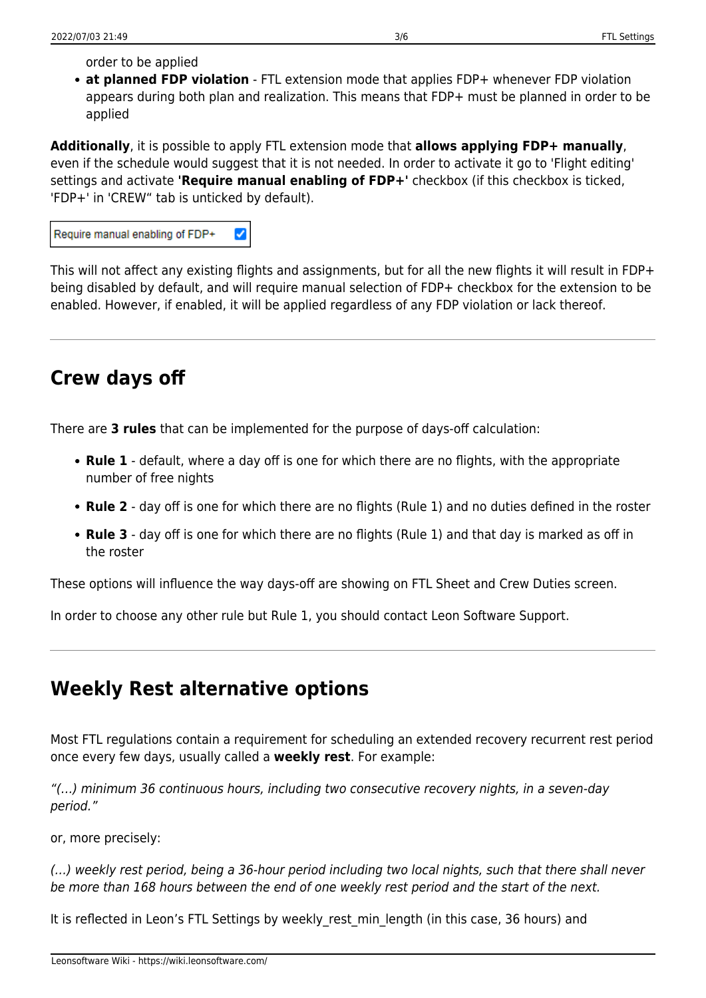order to be applied

**at planned FDP violation** - FTL extension mode that applies FDP+ whenever FDP violation appears during both plan and realization. This means that FDP+ must be planned in order to be applied

**Additionally**, it is possible to apply FTL extension mode that **allows applying FDP+ manually**, even if the schedule would suggest that it is not needed. In order to activate it go to 'Flight editing' settings and activate **'Require manual enabling of FDP+'** checkbox (if this checkbox is ticked, 'FDP+' in 'CREW" tab is unticked by default).

| $\blacktriangledown$<br>Require manual enabling of FDP+ |
|---------------------------------------------------------|
|---------------------------------------------------------|

This will not affect any existing flights and assignments, but for all the new flights it will result in FDP+ being disabled by default, and will require manual selection of FDP+ checkbox for the extension to be enabled. However, if enabled, it will be applied regardless of any FDP violation or lack thereof.

## **Crew days off**

There are **3 rules** that can be implemented for the purpose of days-off calculation:

- **Rule 1** default, where a day off is one for which there are no flights, with the appropriate number of free nights
- **Rule 2** day off is one for which there are no flights (Rule 1) and no duties defined in the roster
- **Rule 3** day off is one for which there are no flights (Rule 1) and that day is marked as off in the roster

These options will influence the way days-off are showing on FTL Sheet and Crew Duties screen.

In order to choose any other rule but Rule 1, you should contact Leon Software Support.

### **Weekly Rest alternative options**

Most FTL regulations contain a requirement for scheduling an extended recovery recurrent rest period once every few days, usually called a **weekly rest**. For example:

"(…) minimum 36 continuous hours, including two consecutive recovery nights, in a seven-day period."

or, more precisely:

(…) weekly rest period, being a 36-hour period including two local nights, such that there shall never be more than 168 hours between the end of one weekly rest period and the start of the next.

It is reflected in Leon's FTL Settings by weekly rest min length (in this case, 36 hours) and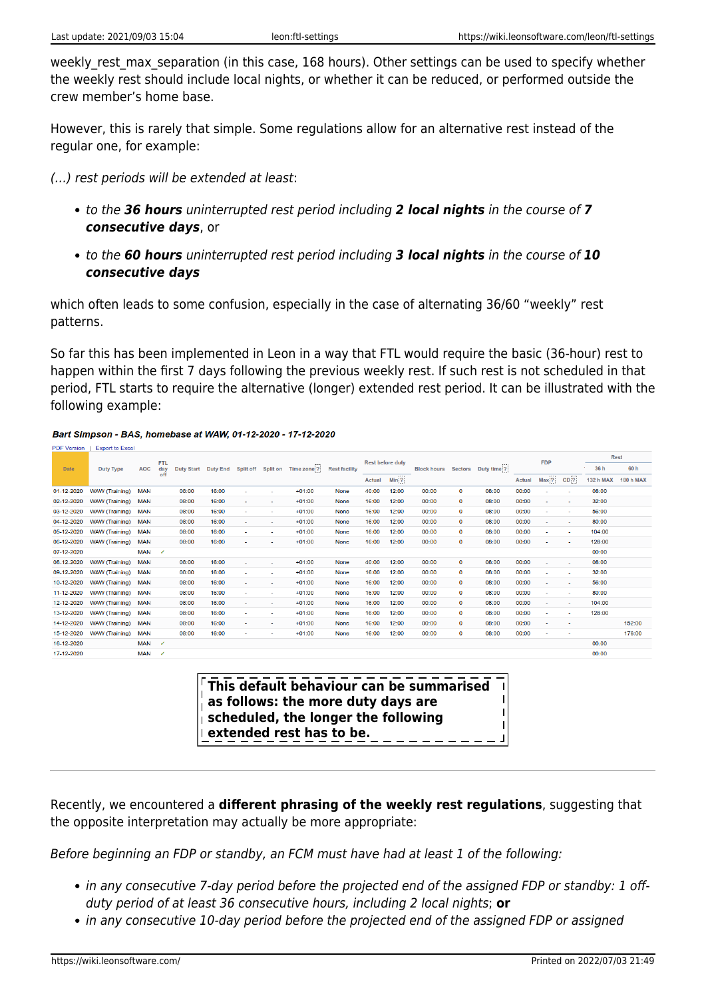weekly rest max separation (in this case, 168 hours). Other settings can be used to specify whether the weekly rest should include local nights, or whether it can be reduced, or performed outside the crew member's home base.

However, this is rarely that simple. Some regulations allow for an alternative rest instead of the regular one, for example:

(…) rest periods will be extended at least:

- to the *36 hours* uninterrupted rest period including *2 local nights* in the course of *7 consecutive days*, or
- to the *60 hours* uninterrupted rest period including *3 local nights* in the course of *10 consecutive days*

which often leads to some confusion, especially in the case of alternating 36/60 "weekly" rest patterns.

So far this has been implemented in Leon in a way that FTL would require the basic (36-hour) rest to happen within the first 7 days following the previous weekly rest. If such rest is not scheduled in that period, FTL starts to require the alternative (longer) extended rest period. It can be illustrated with the following example:

#### Bart Simpson - BAS, homebase at WAW, 01-12-2020 - 17-12-2020

| <b>PUF VEISION</b> | <b>EXPORT TO EXCEPT</b> |            |                          |       |       |        |                          |                                                    |                      |                         |                  |                    |                |             |               |                          |                          |                  |                  |
|--------------------|-------------------------|------------|--------------------------|-------|-------|--------|--------------------------|----------------------------------------------------|----------------------|-------------------------|------------------|--------------------|----------------|-------------|---------------|--------------------------|--------------------------|------------------|------------------|
|                    |                         |            | <b>FTL</b>               |       |       |        |                          |                                                    |                      | <b>Rest before duty</b> |                  |                    |                |             |               | <b>FDP</b>               |                          | <b>Rest</b>      |                  |
| <b>Date</b>        | <b>Duty Type</b>        | <b>AOC</b> | day                      |       |       |        |                          | Duty Start Duty End Split off Split on Time zone ? | <b>Rest facility</b> |                         |                  | <b>Block hours</b> | <b>Sectors</b> | Duty time ? |               |                          |                          | 36 h             | 60 h             |
|                    |                         |            |                          |       |       |        |                          |                                                    |                      | Actual                  | Min <sub>2</sub> |                    |                |             | <b>Actual</b> | Max <sub>2</sub>         | CD <sub>2</sub>          | <b>132 h MAX</b> | <b>180 h MAX</b> |
| 01-12-2020         | <b>WAW</b> (Training)   | <b>MAN</b> |                          | 08:00 | 16:00 | ٠      | $\overline{a}$           | $+01:00$                                           | <b>None</b>          | 40:00                   | 12:00            | 00:00              | 0              | 08:00       | 00:00         | ٠                        | ٠                        | 08:00            |                  |
| 02-12-2020         | <b>WAW</b> (Training)   | <b>MAN</b> |                          | 08:00 | 16:00 | $\sim$ | ٠                        | $+01:00$                                           | None                 | 16:00                   | 12:00            | 00:00              | $\mathbf{o}$   | 08:00       | 00:00         | ٠                        | ٠                        | 32:00            |                  |
| 03-12-2020         | <b>WAW</b> (Training)   | <b>MAN</b> |                          | 08:00 | 16:00 | ٠      | ۰                        | $+01:00$                                           | None                 | 16:00                   | 12:00            | 00:00              | 0              | 08:00       | 00:00         | ٠                        | ٠                        | 56:00            |                  |
| 04-12-2020         | <b>WAW</b> (Training)   | <b>MAN</b> |                          | 08:00 | 16:00 | ۰      | ٠                        | $+01:00$                                           | None                 | 16:00                   | 12:00            | 00:00              | 0              | 08:00       | 00:00         | $\overline{\phantom{a}}$ | $\overline{\phantom{a}}$ | 80:00            |                  |
| 05-12-2020         | <b>WAW</b> (Training)   | <b>MAN</b> |                          | 08:00 | 16:00 | ٠      | ٠                        | $+01:00$                                           | None                 | 16:00                   | 12:00            | 00:00              | $\Omega$       | 08:00       | 00:00         | ٠                        | ٠                        | 104:00           |                  |
| 06-12-2020         | <b>WAW</b> (Training)   | <b>MAN</b> |                          | 08:00 | 16:00 | ٠      |                          | $+01:00$                                           | <b>None</b>          | 16:00                   | 12:00            | 00:00              | o              | 08:00       | 00:00         | ٠                        | $\overline{\phantom{a}}$ | 128:00           |                  |
| 07-12-2020         |                         | <b>MAN</b> | ر                        |       |       |        |                          |                                                    |                      |                         |                  |                    |                |             |               |                          |                          | 00:00            |                  |
| 08-12-2020         | <b>WAW</b> (Training)   | <b>MAN</b> |                          | 08:00 | 16:00 | ٠      | ٠                        | $+01:00$                                           | None                 | 40:00                   | 12:00            | 00:00              | 0              | 08:00       | 00:00         | ٠                        | ٠                        | 08:00            |                  |
| 09-12-2020         | <b>WAW</b> (Training)   | <b>MAN</b> |                          | 08:00 | 16:00 | ٠      | ۰                        | $+01:00$                                           | None                 | 16:00                   | 12:00            | 00:00              | 0              | 08:00       | 00:00         | ٠                        | ٠                        | 32:00            |                  |
| 10-12-2020         | <b>WAW</b> (Training)   | <b>MAN</b> |                          | 08:00 | 16:00 | ٠      | ٠                        | $+01:00$                                           | <b>None</b>          | 16:00                   | 12:00            | 00:00              | $\Omega$       | 08:00       | 00:00         | ۰                        | ٠                        | 56:00            |                  |
| 11-12-2020         | <b>WAW</b> (Training)   | <b>MAN</b> |                          | 08:00 | 16:00 | ٠      | ۰                        | $+01:00$                                           | <b>None</b>          | 16:00                   | 12:00            | 00:00              | 0              | 08:00       | 00:00         | ٠                        | $\overline{\phantom{a}}$ | 80:00            |                  |
| 12-12-2020         | <b>WAW</b> (Training)   | <b>MAN</b> |                          | 08:00 | 16:00 | ٠      | ٠                        | $+01:00$                                           | None                 | 16:00                   | 12:00            | 00:00              | $\mathbf 0$    | 08:00       | 00:00         | ٠                        | ٠                        | 104:00           |                  |
| 13-12-2020         | <b>WAW</b> (Training)   | <b>MAN</b> |                          | 08:00 | 16:00 | ٠      | ٠                        | $+01:00$                                           | None                 | 16:00                   | 12:00            | 00:00              | 0              | 08:00       | 00:00         | ۰                        | ٠                        | 128:00           |                  |
| 14-12-2020         | <b>WAW</b> (Training)   | <b>MAN</b> |                          | 08:00 | 16:00 | ۰      | $\overline{\phantom{a}}$ | $+01:00$                                           | None                 | 16:00                   | 12:00            | 00:00              | $\mathbf 0$    | 08:00       | 00:00         | ٠                        |                          |                  | 152:00           |
| 15-12-2020         | <b>WAW (Training)</b>   | <b>MAN</b> |                          | 08:00 | 16:00 | ٠      | ٠                        | $+01:00$                                           | None                 | 16:00                   | 12:00            | 00:00              | 0              | 08:00       | 00:00         | ٠                        |                          |                  | 176:00           |
| 16-12-2020         |                         | <b>MAN</b> | $\checkmark$             |       |       |        |                          |                                                    |                      |                         |                  |                    |                |             |               |                          |                          | 00:00            |                  |
| 17-12-2020         |                         | <b>MAN</b> | $\overline{\phantom{a}}$ |       |       |        |                          |                                                    |                      |                         |                  |                    |                |             |               |                          |                          | 00:00            |                  |
|                    |                         |            |                          |       |       |        |                          |                                                    |                      |                         |                  |                    |                |             |               |                          |                          |                  |                  |

**This default behaviour can be summarised as follows: the more duty days are scheduled, the longer the following extended rest has to be.**

Recently, we encountered a **different phrasing of the weekly rest regulations**, suggesting that the opposite interpretation may actually be more appropriate:

Before beginning an FDP or standby, an FCM must have had at least 1 of the following:

- in any consecutive 7-day period before the projected end of the assigned FDP or standby: 1 offduty period of at least 36 consecutive hours, including 2 local nights; **or**
- in any consecutive 10-day period before the projected end of the assigned FDP or assigned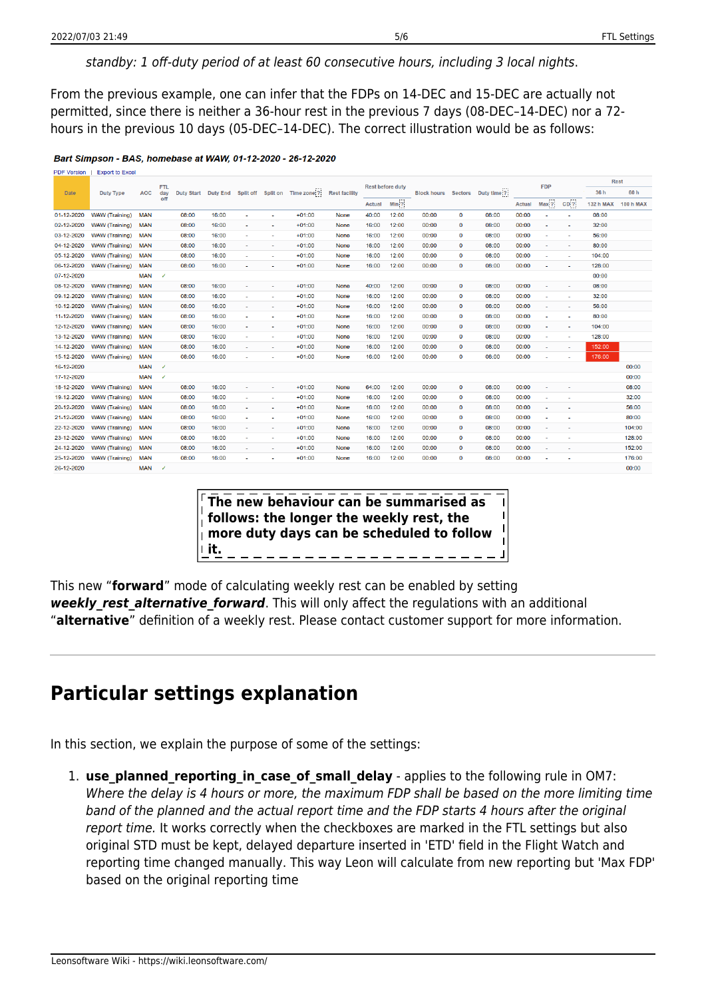### standby: 1 off-duty period of at least 60 consecutive hours, including 3 local nights.

From the previous example, one can infer that the FDPs on 14-DEC and 15-DEC are actually not permitted, since there is neither a 36-hour rest in the previous 7 days (08-DEC–14-DEC) nor a 72 hours in the previous 10 days (05-DEC–14-DEC). The correct illustration would be as follows:

#### Bart Simpson - BAS, homebase at WAW, 01-12-2020 - 26-12-2020

|  | <b>PDF Version</b> | <b>Export to Excel</b> |            |              |                     |       |                          |                          |                                |                      |                         |         |                            |              |             |               |                          |        |                  |                  |
|--|--------------------|------------------------|------------|--------------|---------------------|-------|--------------------------|--------------------------|--------------------------------|----------------------|-------------------------|---------|----------------------------|--------------|-------------|---------------|--------------------------|--------|------------------|------------------|
|  |                    |                        |            | <b>FTL</b>   |                     |       |                          |                          | Split off Split on Time zone ? | <b>Rest facility</b> | <b>Rest before duty</b> |         |                            |              |             |               | <b>FDP</b>               |        | <b>Rest</b>      |                  |
|  | <b>Date</b>        | <b>Duty Type</b>       | <b>AOC</b> | day<br>off   | Duty Start Duty End |       |                          |                          |                                |                      |                         |         | <b>Block hours</b> Sectors |              | Duty time ? |               |                          |        | 36 h             | 60 h             |
|  |                    |                        |            |              |                     |       |                          |                          |                                |                      | Actual                  | $Min$ ? |                            |              |             | <b>Actual</b> | Max ?                    | $CD$ ? | <b>132 h MAX</b> | <b>180 h MAX</b> |
|  | 01-12-2020         | <b>WAW (Training)</b>  | <b>MAN</b> |              | 08:00               | 16:00 | ٠                        |                          | $+01:00$                       | None                 | 40:00                   | 12:00   | 00:00                      | 0            | 08:00       | 00:00         |                          |        | 08:00            |                  |
|  | 02-12-2020         | <b>WAW (Training)</b>  | <b>MAN</b> |              | 08:00               | 16:00 | ٠                        | ٠                        | $+01:00$                       | <b>None</b>          | 16:00                   | 12:00   | 00:00                      | $\mathbf 0$  | 08:00       | 00:00         | ٠                        | ٠      | 32:00            |                  |
|  | 03-12-2020         | <b>WAW (Training)</b>  | <b>MAN</b> |              | 08:00               | 16:00 | ٠                        |                          | $+01:00$                       | <b>None</b>          | 16:00                   | 12:00   | 00:00                      | $\mathbf 0$  | 08:00       | 00:00         |                          |        | 56:00            |                  |
|  | 04-12-2020         | <b>WAW</b> (Training)  | <b>MAN</b> |              | 08:00               | 16:00 | ٠                        | ٠                        | $+01:00$                       | None                 | 16:00                   | 12:00   | 00:00                      | $\mathbf 0$  | 08:00       | 00:00         | $\sim$                   | $\sim$ | 80:00            |                  |
|  | 05-12-2020         | <b>WAW</b> (Training)  | <b>MAN</b> |              | 08:00               | 16:00 | ٠                        | ٠                        | $+01:00$                       | None                 | 16:00                   | 12:00   | 00:00                      | 0            | 08:00       | 00:00         |                          | ٠      | 104:00           |                  |
|  | 06-12-2020         | <b>WAW (Training)</b>  | <b>MAN</b> |              | 08:00               | 16:00 | ٠                        | ٠                        | $+01:00$                       | <b>None</b>          | 16:00                   | 12:00   | 00:00                      | $\mathbf 0$  | 08:00       | 00:00         | $\overline{\phantom{a}}$ | $\sim$ | 128:00           |                  |
|  | 07-12-2020         |                        | <b>MAN</b> | ✓            |                     |       |                          |                          |                                |                      |                         |         |                            |              |             |               |                          |        | 00:00            |                  |
|  | 08-12-2020         | <b>WAW</b> (Training)  | <b>MAN</b> |              | 08:00               | 16:00 | ÷                        | $\sim$                   | $+01:00$                       | None                 | 40:00                   | 12:00   | 00:00                      | $\mathbf 0$  | 08:00       | 00:00         | $\sim$                   | $\sim$ | 08:00            |                  |
|  | 09-12-2020         | <b>WAW</b> (Training)  | <b>MAN</b> |              | 08:00               | 16:00 | ٠                        | ٠                        | $+01:00$                       | None                 | 16:00                   | 12:00   | 00:00                      | $\mathbf 0$  | 08:00       | 00:00         | $\sim$                   | $\sim$ | 32:00            |                  |
|  | 10-12-2020         | <b>WAW</b> (Training)  | <b>MAN</b> |              | 08:00               | 16:00 | ٠                        | ٠                        | $+01:00$                       | <b>None</b>          | 16:00                   | 12:00   | 00:00                      | $\mathbf{0}$ | 08:00       | 00:00         | $\overline{\phantom{a}}$ | $\sim$ | 56:00            |                  |
|  | 11-12-2020         | <b>WAW</b> (Training)  | <b>MAN</b> |              | 08:00               | 16:00 | ×,                       | ÷.                       | $+01:00$                       | None                 | 16:00                   | 12:00   | 00:00                      | $\mathbf 0$  | 08:00       | 00:00         | ٠                        | $\sim$ | 80:00            |                  |
|  | 12-12-2020         | WAW (Training)         | <b>MAN</b> |              | 08:00               | 16:00 | $\sim$                   | $\sim$                   | $+01:00$                       | None                 | 16:00                   | 12:00   | 00:00                      | $\mathbf 0$  | 08:00       | 00:00         | $\sim$                   | $\sim$ | 104:00           |                  |
|  | 13-12-2020         | <b>WAW</b> (Training)  | <b>MAN</b> |              | 08:00               | 16:00 | $\sim$                   | $\sim$                   | $+01:00$                       | <b>None</b>          | 16:00                   | 12:00   | 00:00                      | $\mathbf 0$  | 08:00       | 00:00         | $\sim$                   | ×      | 128:00           |                  |
|  | 14-12-2020         | <b>WAW</b> (Training)  | <b>MAN</b> |              | 08:00               | 16:00 | $\overline{\phantom{a}}$ | ٠                        | $+01:00$                       | <b>None</b>          | 16:00                   | 12:00   | 00:00                      | $\mathbf 0$  | 08:00       | 00:00         | $\sim$                   | ٠      | 152:00           |                  |
|  | 15-12-2020         | <b>WAW</b> (Training)  | <b>MAN</b> |              | 08:00               | 16:00 | ٠                        | $\overline{\phantom{a}}$ | $+01:00$                       | None                 | 16:00                   | 12:00   | 00:00                      | $\mathbf 0$  | 08:00       | 00:00         | ٠                        |        | 176:00           |                  |
|  | 16-12-2020         |                        | <b>MAN</b> | ✓            |                     |       |                          |                          |                                |                      |                         |         |                            |              |             |               |                          |        |                  | 00:00            |
|  | 17-12-2020         |                        | <b>MAN</b> | $\checkmark$ |                     |       |                          |                          |                                |                      |                         |         |                            |              |             |               |                          |        |                  | 00:00            |
|  | 18-12-2020         | <b>WAW</b> (Training)  | <b>MAN</b> |              | 08:00               | 16:00 | ÷.                       | ٠                        | $+01:00$                       | None                 | 64:00                   | 12:00   | 00:00                      | $\mathbf 0$  | 08:00       | 00:00         |                          |        |                  | 08:00            |
|  | 19-12-2020         | <b>WAW</b> (Training)  | <b>MAN</b> |              | 08:00               | 16:00 | ٠                        | ÷                        | $+01:00$                       | None                 | 16:00                   | 12:00   | 00:00                      | 0            | 08:00       | 00:00         |                          |        |                  | 32:00            |
|  | 20-12-2020         | <b>WAW</b> (Training)  | <b>MAN</b> |              | 08:00               | 16:00 | ٠                        | ٠                        | $+01:00$                       | <b>None</b>          | 16:00                   | 12:00   | 00:00                      | $\mathbf 0$  | 08:00       | 00:00         |                          |        |                  | 56:00            |
|  | 21-12-2020         | <b>WAW</b> (Training)  | <b>MAN</b> |              | 08:00               | 16:00 | ÷.                       | ٠                        | $+01:00$                       | <b>None</b>          | 16:00                   | 12:00   | 00:00                      | $\mathbf 0$  | 08:00       | 00:00         |                          |        |                  | 80:00            |
|  | 22-12-2020         | <b>WAW</b> (Training)  | <b>MAN</b> |              | 08:00               | 16:00 | ٠                        | $\tilde{\phantom{a}}$    | $+01:00$                       | None                 | 16:00                   | 12:00   | 00:00                      | $\mathbf 0$  | 08:00       | 00:00         | ٠                        |        |                  | 104:00           |
|  | 23-12-2020         | <b>WAW</b> (Training)  | <b>MAN</b> |              | 08:00               | 16:00 | ٠                        | ۰                        | $+01:00$                       | None                 | 16:00                   | 12:00   | 00:00                      | $\Omega$     | 08:00       | 00:00         |                          |        |                  | 128:00           |
|  | 24-12-2020         | <b>WAW (Training)</b>  | <b>MAN</b> |              | 08:00               | 16:00 | ٠                        | ٠                        | $+01:00$                       | <b>None</b>          | 16:00                   | 12:00   | 00:00                      | $\mathbf 0$  | 08:00       | 00:00         |                          |        |                  | 152:00           |
|  | 25-12-2020         | <b>WAW</b> (Training)  | <b>MAN</b> |              | 08:00               | 16:00 | $\sim$                   | ٠                        | $+01:00$                       | None                 | 16:00                   | 12:00   | 00:00                      | $\mathbf 0$  | 08:00       | 00:00         | $\overline{\phantom{a}}$ | ٠      |                  | 176:00           |
|  | 26-12-2020         |                        | <b>MAN</b> | $\checkmark$ |                     |       |                          |                          |                                |                      |                         |         |                            |              |             |               |                          |        |                  | 00:00            |
|  |                    |                        |            |              |                     |       |                          |                          |                                |                      |                         |         |                            |              |             |               |                          |        |                  |                  |

**The new behaviour can be summarised as follows: the longer the weekly rest, the more duty days can be scheduled to follow it.**

This new "**forward**" mode of calculating weekly rest can be enabled by setting weekly rest alternative forward. This will only affect the regulations with an additional "**alternative**" definition of a weekly rest. Please contact customer support for more information.

### **Particular settings explanation**

In this section, we explain the purpose of some of the settings:

1. **use planned reporting in case of small delay** - applies to the following rule in OM7: Where the delay is 4 hours or more, the maximum FDP shall be based on the more limiting time band of the planned and the actual report time and the FDP starts 4 hours after the original report time. It works correctly when the checkboxes are marked in the FTL settings but also original STD must be kept, delayed departure inserted in 'ETD' field in the Flight Watch and reporting time changed manually. This way Leon will calculate from new reporting but 'Max FDP' based on the original reporting time